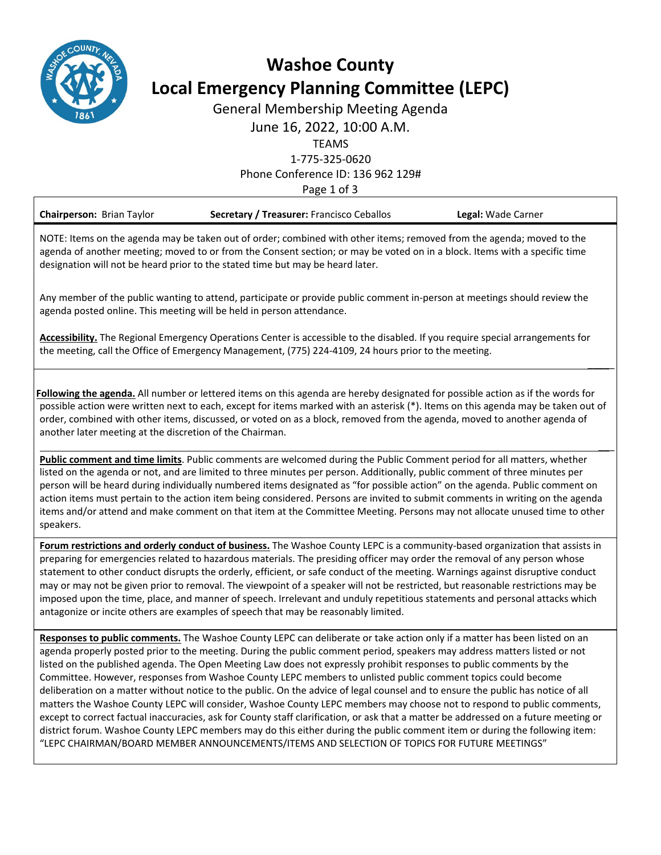

# **Washoe County Local Emergency Planning Committee (LEPC)**

General Membership Meeting Agenda

June 16, 2022, 10:00 A.M.

TEAMS

1‐775‐325‐0620

Phone Conference ID: 136 962 129#

Page 1 of 3

| <b>Chairperson: Brian Taylor</b>                                                                                                                                                                                                                                                                                                      | Secretary / Treasurer: Francisco Ceballos | Legal: Wade Carner |
|---------------------------------------------------------------------------------------------------------------------------------------------------------------------------------------------------------------------------------------------------------------------------------------------------------------------------------------|-------------------------------------------|--------------------|
| NOTE: Items on the agenda may be taken out of order; combined with other items; removed from the agenda; moved to the<br>agenda of another meeting; moved to or from the Consent section; or may be voted on in a block. Items with a specific time<br>designation will not be heard prior to the stated time but may be heard later. |                                           |                    |

Any member of the public wanting to attend, participate or provide public comment in‐person at meetings should review the agenda posted online. This meeting will be held in person attendance.

**Accessibility.** The Regional Emergency Operations Center is accessible to the disabled. If you require special arrangements for the meeting, call the Office of Emergency Management, (775) 224‐4109, 24 hours prior to the meeting.

**Following the agenda.** All number or lettered items on this agenda are hereby designated for possible action as if the words for possible action were written next to each, except for items marked with an asterisk (\*). Items on this agenda may be taken out of order, combined with other items, discussed, or voted on as a block, removed from the agenda, moved to another agenda of another later meeting at the discretion of the Chairman.

 $\overline{\phantom{a}}$ 

 $\overline{\phantom{a}}$ 

**Public comment and time limits**. Public comments are welcomed during the Public Comment period for all matters, whether listed on the agenda or not, and are limited to three minutes per person. Additionally, public comment of three minutes per person will be heard during individually numbered items designated as "for possible action" on the agenda. Public comment on action items must pertain to the action item being considered. Persons are invited to submit comments in writing on the agenda items and/or attend and make comment on that item at the Committee Meeting. Persons may not allocate unused time to other speakers.

**Forum restrictions and orderly conduct of business.** The Washoe County LEPC is a community‐based organization that assists in preparing for emergencies related to hazardous materials. The presiding officer may order the removal of any person whose statement to other conduct disrupts the orderly, efficient, or safe conduct of the meeting. Warnings against disruptive conduct may or may not be given prior to removal. The viewpoint of a speaker will not be restricted, but reasonable restrictions may be imposed upon the time, place, and manner of speech. Irrelevant and unduly repetitious statements and personal attacks which antagonize or incite others are examples of speech that may be reasonably limited.

**Responses to public comments.** The Washoe County LEPC can deliberate or take action only if a matter has been listed on an agenda properly posted prior to the meeting. During the public comment period, speakers may address matters listed or not listed on the published agenda. The Open Meeting Law does not expressly prohibit responses to public comments by the Committee. However, responses from Washoe County LEPC members to unlisted public comment topics could become deliberation on a matter without notice to the public. On the advice of legal counsel and to ensure the public has notice of all matters the Washoe County LEPC will consider, Washoe County LEPC members may choose not to respond to public comments, except to correct factual inaccuracies, ask for County staff clarification, or ask that a matter be addressed on a future meeting or district forum. Washoe County LEPC members may do this either during the public comment item or during the following item: "LEPC CHAIRMAN/BOARD MEMBER ANNOUNCEMENTS/ITEMS AND SELECTION OF TOPICS FOR FUTURE MEETINGS"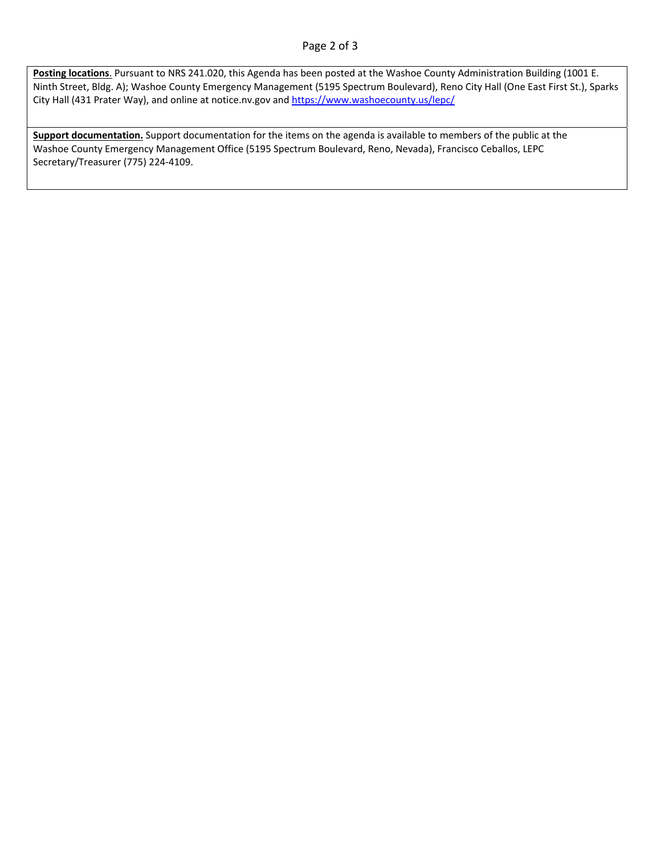#### Page 2 of 3

**Posting locations**. Pursuant to NRS 241.020, this Agenda has been posted at the Washoe County Administration Building (1001 E. Ninth Street, Bldg. A); Washoe County Emergency Management (5195 Spectrum Boulevard), Reno City Hall (One East First St.), Sparks City Hall (431 Prater Way), and online at notice.nv.gov and https://www.washoecounty.us/lepc/

**Support documentation.** Support documentation for the items on the agenda is available to members of the public at the Washoe County Emergency Management Office (5195 Spectrum Boulevard, Reno, Nevada), Francisco Ceballos, LEPC Secretary/Treasurer (775) 224‐4109.